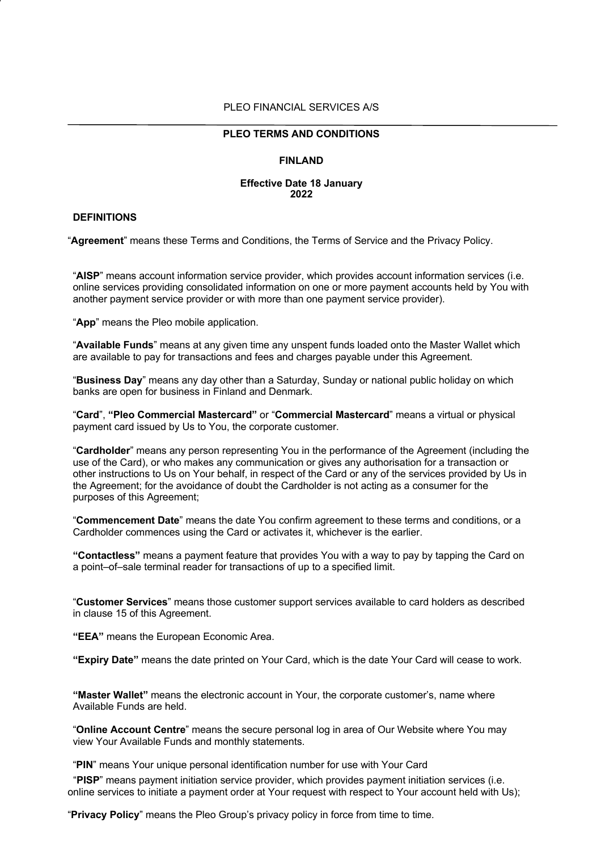#### PLEO FINANCIAL SERVICES A/S

#### **PLEO TERMS AND CONDITIONS**

#### **FINLAND**

#### **Effective Date 18 January 2022**

# **DEFINITIONS**

"**Agreement**" means these Terms and Conditions, the Terms of Service and the Privacy Policy.

"**AISP**" means account information service provider, which provides account information services (i.e. online services providing consolidated information on one or more payment accounts held by You with another payment service provider or with more than one payment service provider).

"**App**" means the Pleo mobile application.

"**Available Funds**" means at any given time any unspent funds loaded onto the Master Wallet which are available to pay for transactions and fees and charges payable under this Agreement.

"**Business Day**" means any day other than a Saturday, Sunday or national public holiday on which banks are open for business in Finland and Denmark.

"**Card**", **"Pleo Commercial Mastercard"** or "**Commercial Mastercard**" means a virtual or physical payment card issued by Us to You, the corporate customer.

"**Cardholder**" means any person representing You in the performance of the Agreement (including the use of the Card), or who makes any communication or gives any authorisation for a transaction or other instructions to Us on Your behalf, in respect of the Card or any of the services provided by Us in the Agreement; for the avoidance of doubt the Cardholder is not acting as a consumer for the purposes of this Agreement;

"**Commencement Date**" means the date You confirm agreement to these terms and conditions, or a Cardholder commences using the Card or activates it, whichever is the earlier.

**"Contactless"** means a payment feature that provides You with a way to pay by tapping the Card on a point–of–sale terminal reader for transactions of up to a specified limit.

"**Customer Services**" means those customer support services available to card holders as described in clause 15 of this Agreement.

**"EEA"** means the European Economic Area.

**"Expiry Date"** means the date printed on Your Card, which is the date Your Card will cease to work.

**"Master Wallet"** means the electronic account in Your, the corporate customer's, name where Available Funds are held.

"**Online Account Centre**" means the secure personal log in area of Our Website where You may view Your Available Funds and monthly statements.

"**PIN**" means Your unique personal identification number for use with Your Card

 "**PISP**" means payment initiation service provider, which provides payment initiation services (i.e. online services to initiate a payment order at Your request with respect to Your account held with Us);

"**Privacy Policy**" means the Pleo Group's privacy policy in force from time to time.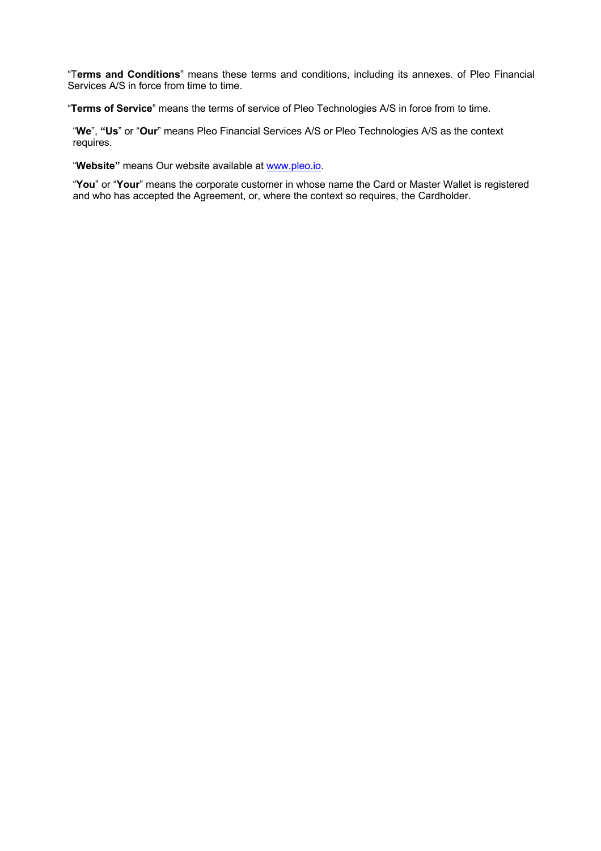"T**erms and Conditions**" means these terms and conditions, including its annexes. of Pleo Financial Services A/S in force from time to time.

"**Terms of Service**" means the terms of service of Pleo Technologies A/S in force from to time.

"**We**", **"Us**" or "**Our**" means Pleo Financial Services A/S or Pleo Technologies A/S as the context requires.

"**Website"** means Our website available at www.pleo.io.

"**You**" or "**Your**" means the corporate customer in whose name the Card or Master Wallet is registered and who has accepted the Agreement, or, where the context so requires, the Cardholder.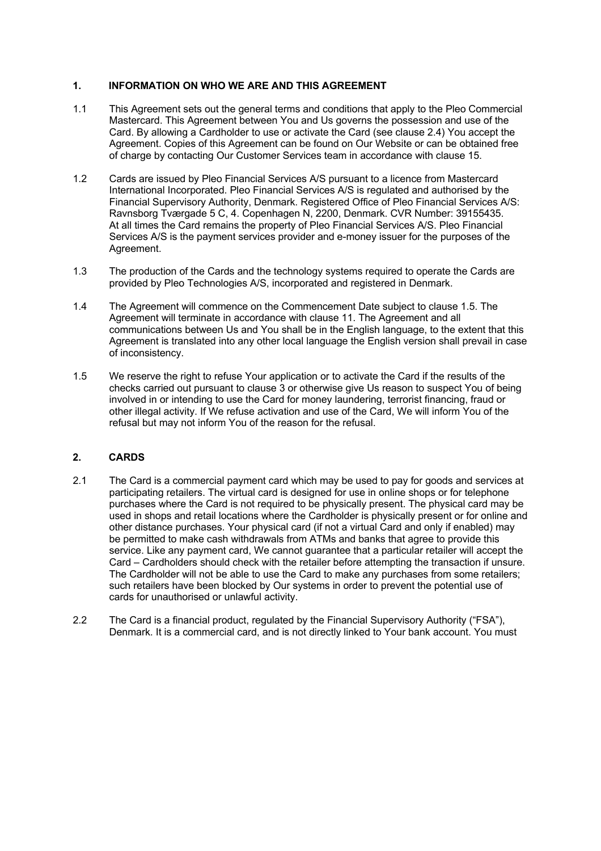## **1. INFORMATION ON WHO WE ARE AND THIS AGREEMENT**

- 1.1 This Agreement sets out the general terms and conditions that apply to the Pleo Commercial Mastercard. This Agreement between You and Us governs the possession and use of the Card. By allowing a Cardholder to use or activate the Card (see clause 2.4) You accept the Agreement. Copies of this Agreement can be found on Our Website or can be obtained free of charge by contacting Our Customer Services team in accordance with clause 15.
- 1.2 Cards are issued by Pleo Financial Services A/S pursuant to a licence from Mastercard International Incorporated. Pleo Financial Services A/S is regulated and authorised by the Financial Supervisory Authority, Denmark. Registered Office of Pleo Financial Services A/S: Ravnsborg Tværgade 5 C, 4. Copenhagen N, 2200, Denmark. CVR Number: 39155435. At all times the Card remains the property of Pleo Financial Services A/S. Pleo Financial Services A/S is the payment services provider and e-money issuer for the purposes of the Agreement.
- 1.3 The production of the Cards and the technology systems required to operate the Cards are provided by Pleo Technologies A/S, incorporated and registered in Denmark.
- 1.4 The Agreement will commence on the Commencement Date subject to clause 1.5. The Agreement will terminate in accordance with clause 11. The Agreement and all communications between Us and You shall be in the English language, to the extent that this Agreement is translated into any other local language the English version shall prevail in case of inconsistency.
- 1.5 We reserve the right to refuse Your application or to activate the Card if the results of the checks carried out pursuant to clause 3 or otherwise give Us reason to suspect You of being involved in or intending to use the Card for money laundering, terrorist financing, fraud or other illegal activity. If We refuse activation and use of the Card, We will inform You of the refusal but may not inform You of the reason for the refusal.

## **2. CARDS**

- 2.1 The Card is a commercial payment card which may be used to pay for goods and services at participating retailers. The virtual card is designed for use in online shops or for telephone purchases where the Card is not required to be physically present. The physical card may be used in shops and retail locations where the Cardholder is physically present or for online and other distance purchases. Your physical card (if not a virtual Card and only if enabled) may be permitted to make cash withdrawals from ATMs and banks that agree to provide this service. Like any payment card, We cannot guarantee that a particular retailer will accept the Card – Cardholders should check with the retailer before attempting the transaction if unsure. The Cardholder will not be able to use the Card to make any purchases from some retailers; such retailers have been blocked by Our systems in order to prevent the potential use of cards for unauthorised or unlawful activity.
- 2.2 The Card is a financial product, regulated by the Financial Supervisory Authority ("FSA"), Denmark. It is a commercial card, and is not directly linked to Your bank account. You must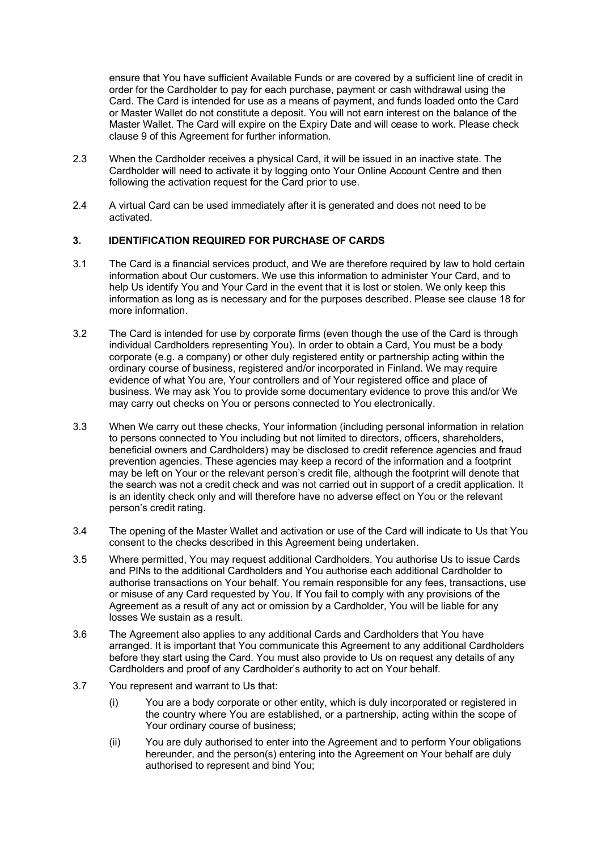ensure that You have sufficient Available Funds or are covered by a sufficient line of credit in order for the Cardholder to pay for each purchase, payment or cash withdrawal using the Card. The Card is intended for use as a means of payment, and funds loaded onto the Card or Master Wallet do not constitute a deposit. You will not earn interest on the balance of the Master Wallet. The Card will expire on the Expiry Date and will cease to work. Please check clause 9 of this Agreement for further information.

- 2.3 When the Cardholder receives a physical Card, it will be issued in an inactive state. The Cardholder will need to activate it by logging onto Your Online Account Centre and then following the activation request for the Card prior to use.
- 2.4 A virtual Card can be used immediately after it is generated and does not need to be activated.

# **3. IDENTIFICATION REQUIRED FOR PURCHASE OF CARDS**

- 3.1 The Card is a financial services product, and We are therefore required by law to hold certain information about Our customers. We use this information to administer Your Card, and to help Us identify You and Your Card in the event that it is lost or stolen. We only keep this information as long as is necessary and for the purposes described. Please see clause 18 for more information.
- 3.2 The Card is intended for use by corporate firms (even though the use of the Card is through individual Cardholders representing You). In order to obtain a Card, You must be a body corporate (e.g. a company) or other duly registered entity or partnership acting within the ordinary course of business, registered and/or incorporated in Finland. We may require evidence of what You are, Your controllers and of Your registered office and place of business. We may ask You to provide some documentary evidence to prove this and/or We may carry out checks on You or persons connected to You electronically.
- 3.3 When We carry out these checks, Your information (including personal information in relation to persons connected to You including but not limited to directors, officers, shareholders, beneficial owners and Cardholders) may be disclosed to credit reference agencies and fraud prevention agencies. These agencies may keep a record of the information and a footprint may be left on Your or the relevant person's credit file, although the footprint will denote that the search was not a credit check and was not carried out in support of a credit application. It is an identity check only and will therefore have no adverse effect on You or the relevant person's credit rating.
- 3.4 The opening of the Master Wallet and activation or use of the Card will indicate to Us that You consent to the checks described in this Agreement being undertaken.
- 3.5 Where permitted, You may request additional Cardholders. You authorise Us to issue Cards and PINs to the additional Cardholders and You authorise each additional Cardholder to authorise transactions on Your behalf. You remain responsible for any fees, transactions, use or misuse of any Card requested by You. If You fail to comply with any provisions of the Agreement as a result of any act or omission by a Cardholder, You will be liable for any losses We sustain as a result.
- 3.6 The Agreement also applies to any additional Cards and Cardholders that You have arranged. It is important that You communicate this Agreement to any additional Cardholders before they start using the Card. You must also provide to Us on request any details of any Cardholders and proof of any Cardholder's authority to act on Your behalf.
- 3.7 You represent and warrant to Us that:
	- (i) You are a body corporate or other entity, which is duly incorporated or registered in the country where You are established, or a partnership, acting within the scope of Your ordinary course of business;
	- (ii) You are duly authorised to enter into the Agreement and to perform Your obligations hereunder, and the person(s) entering into the Agreement on Your behalf are duly authorised to represent and bind You;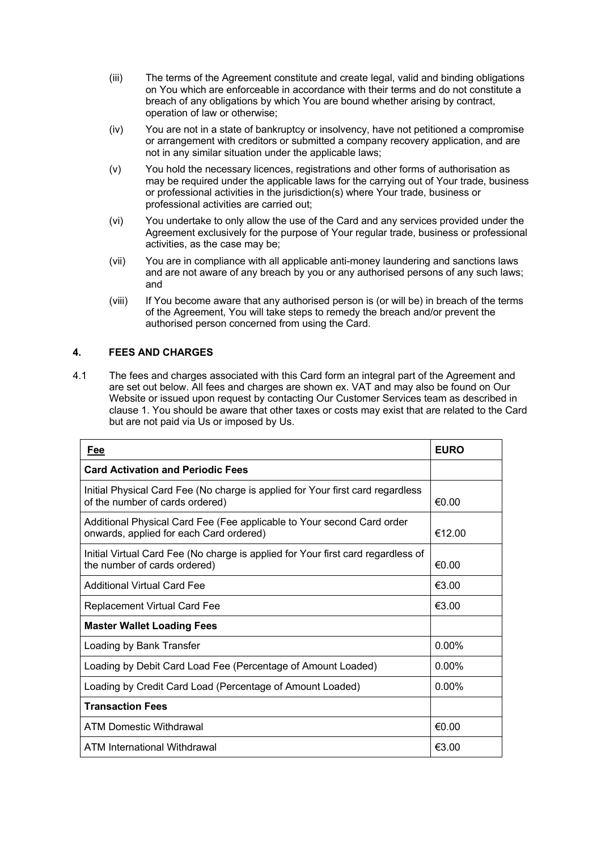- (iii) The terms of the Agreement constitute and create legal, valid and binding obligations on You which are enforceable in accordance with their terms and do not constitute a breach of any obligations by which You are bound whether arising by contract, operation of law or otherwise;
- (iv) You are not in a state of bankruptcy or insolvency, have not petitioned a compromise or arrangement with creditors or submitted a company recovery application, and are not in any similar situation under the applicable laws;
- (v) You hold the necessary licences, registrations and other forms of authorisation as may be required under the applicable laws for the carrying out of Your trade, business or professional activities in the jurisdiction(s) where Your trade, business or professional activities are carried out;
- (vi) You undertake to only allow the use of the Card and any services provided under the Agreement exclusively for the purpose of Your regular trade, business or professional activities, as the case may be;
- (vii) You are in compliance with all applicable anti-money laundering and sanctions laws and are not aware of any breach by you or any authorised persons of any such laws; and
- (viii) If You become aware that any authorised person is (or will be) in breach of the terms of the Agreement, You will take steps to remedy the breach and/or prevent the authorised person concerned from using the Card.

# **4. FEES AND CHARGES**

4.1 The fees and charges associated with this Card form an integral part of the Agreement and are set out below. All fees and charges are shown ex. VAT and may also be found on Our Website or issued upon request by contacting Our Customer Services team as described in clause 1. You should be aware that other taxes or costs may exist that are related to the Card but are not paid via Us or imposed by Us.

| <u>Fee</u>                                                                                                        | <b>EURO</b> |
|-------------------------------------------------------------------------------------------------------------------|-------------|
| <b>Card Activation and Periodic Fees</b>                                                                          |             |
| Initial Physical Card Fee (No charge is applied for Your first card regardless<br>of the number of cards ordered) | €0.00       |
| Additional Physical Card Fee (Fee applicable to Your second Card order<br>onwards, applied for each Card ordered) | €12.00      |
| Initial Virtual Card Fee (No charge is applied for Your first card regardless of<br>the number of cards ordered)  | €0.00       |
| Additional Virtual Card Fee                                                                                       | €3.00       |
| <b>Replacement Virtual Card Fee</b>                                                                               | €3.00       |
| <b>Master Wallet Loading Fees</b>                                                                                 |             |
| Loading by Bank Transfer                                                                                          | $0.00\%$    |
| Loading by Debit Card Load Fee (Percentage of Amount Loaded)                                                      | $0.00\%$    |
| Loading by Credit Card Load (Percentage of Amount Loaded)                                                         | $0.00\%$    |
| <b>Transaction Fees</b>                                                                                           |             |
| ATM Domestic Withdrawal                                                                                           | €0.00       |
| ATM International Withdrawal                                                                                      | €3.00       |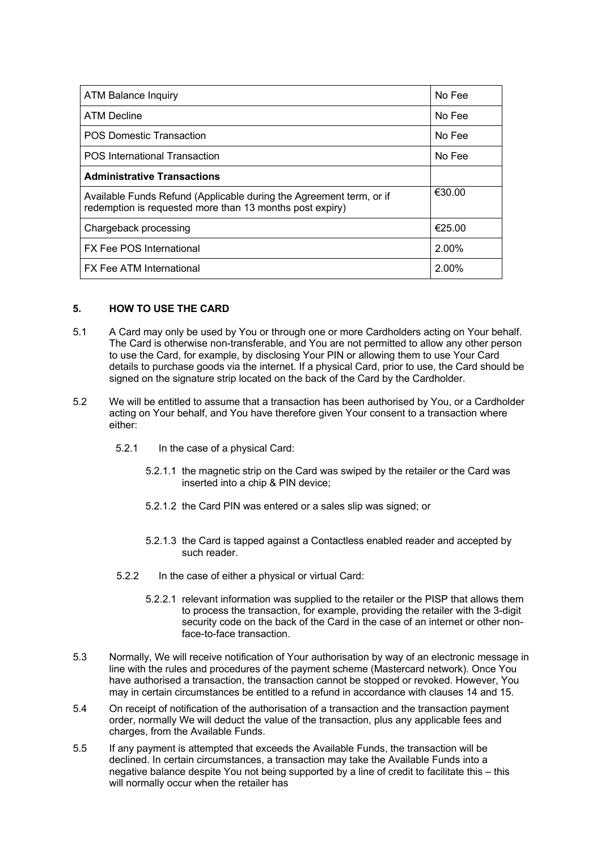| <b>ATM Balance Inquiry</b>                                                                                                      | No Fee   |
|---------------------------------------------------------------------------------------------------------------------------------|----------|
| <b>ATM Decline</b>                                                                                                              | No Fee   |
| <b>POS Domestic Transaction</b>                                                                                                 | No Fee   |
| <b>POS International Transaction</b>                                                                                            | No Fee   |
| <b>Administrative Transactions</b>                                                                                              |          |
| Available Funds Refund (Applicable during the Agreement term, or if<br>redemption is requested more than 13 months post expiry) | €30.00   |
| Chargeback processing                                                                                                           | €25.00   |
| <b>FX Fee POS International</b>                                                                                                 | $2.00\%$ |
| <b>FX Fee ATM International</b>                                                                                                 | 2.00%    |

## **5. HOW TO USE THE CARD**

- 5.1 A Card may only be used by You or through one or more Cardholders acting on Your behalf. The Card is otherwise non-transferable, and You are not permitted to allow any other person to use the Card, for example, by disclosing Your PIN or allowing them to use Your Card details to purchase goods via the internet. If a physical Card, prior to use, the Card should be signed on the signature strip located on the back of the Card by the Cardholder.
- 5.2 We will be entitled to assume that a transaction has been authorised by You, or a Cardholder acting on Your behalf, and You have therefore given Your consent to a transaction where either:
	- 5.2.1 In the case of a physical Card:
		- 5.2.1.1 the magnetic strip on the Card was swiped by the retailer or the Card was inserted into a chip & PIN device;
		- 5.2.1.2 the Card PIN was entered or a sales slip was signed; or
		- 5.2.1.3 the Card is tapped against a Contactless enabled reader and accepted by such reader.
	- 5.2.2 In the case of either a physical or virtual Card:
		- 5.2.2.1 relevant information was supplied to the retailer or the PISP that allows them to process the transaction, for example, providing the retailer with the 3-digit security code on the back of the Card in the case of an internet or other nonface-to-face transaction.
- 5.3 Normally, We will receive notification of Your authorisation by way of an electronic message in line with the rules and procedures of the payment scheme (Mastercard network). Once You have authorised a transaction, the transaction cannot be stopped or revoked. However, You may in certain circumstances be entitled to a refund in accordance with clauses 14 and 15.
- 5.4 On receipt of notification of the authorisation of a transaction and the transaction payment order, normally We will deduct the value of the transaction, plus any applicable fees and charges, from the Available Funds.
- 5.5 If any payment is attempted that exceeds the Available Funds, the transaction will be declined. In certain circumstances, a transaction may take the Available Funds into a negative balance despite You not being supported by a line of credit to facilitate this – this will normally occur when the retailer has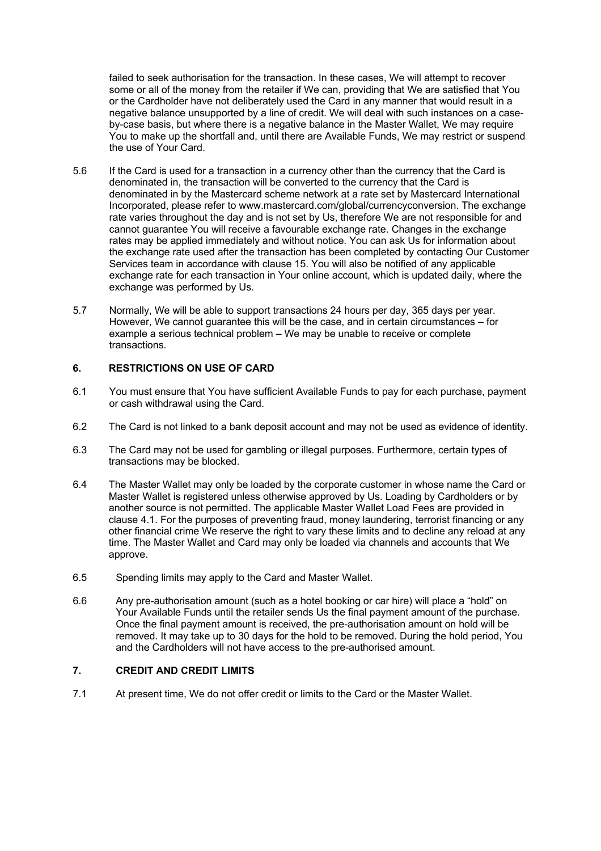failed to seek authorisation for the transaction. In these cases, We will attempt to recover some or all of the money from the retailer if We can, providing that We are satisfied that You or the Cardholder have not deliberately used the Card in any manner that would result in a negative balance unsupported by a line of credit. We will deal with such instances on a caseby-case basis, but where there is a negative balance in the Master Wallet, We may require You to make up the shortfall and, until there are Available Funds, We may restrict or suspend the use of Your Card.

- 5.6 If the Card is used for a transaction in a currency other than the currency that the Card is denominated in, the transaction will be converted to the currency that the Card is denominated in by the Mastercard scheme network at a rate set by Mastercard International Incorporated, please refer to www.mastercard.com/global/currencyconversion. The exchange rate varies throughout the day and is not set by Us, therefore We are not responsible for and cannot guarantee You will receive a favourable exchange rate. Changes in the exchange rates may be applied immediately and without notice. You can ask Us for information about the exchange rate used after the transaction has been completed by contacting Our Customer Services team in accordance with clause 15. You will also be notified of any applicable exchange rate for each transaction in Your online account, which is updated daily, where the exchange was performed by Us.
- 5.7 Normally, We will be able to support transactions 24 hours per day, 365 days per year. However, We cannot guarantee this will be the case, and in certain circumstances – for example a serious technical problem – We may be unable to receive or complete transactions.

# **6. RESTRICTIONS ON USE OF CARD**

- 6.1 You must ensure that You have sufficient Available Funds to pay for each purchase, payment or cash withdrawal using the Card.
- 6.2 The Card is not linked to a bank deposit account and may not be used as evidence of identity.
- 6.3 The Card may not be used for gambling or illegal purposes. Furthermore, certain types of transactions may be blocked.
- 6.4 The Master Wallet may only be loaded by the corporate customer in whose name the Card or Master Wallet is registered unless otherwise approved by Us. Loading by Cardholders or by another source is not permitted. The applicable Master Wallet Load Fees are provided in clause 4.1. For the purposes of preventing fraud, money laundering, terrorist financing or any other financial crime We reserve the right to vary these limits and to decline any reload at any time. The Master Wallet and Card may only be loaded via channels and accounts that We approve.
- 6.5 Spending limits may apply to the Card and Master Wallet.
- 6.6 Any pre-authorisation amount (such as a hotel booking or car hire) will place a "hold" on Your Available Funds until the retailer sends Us the final payment amount of the purchase. Once the final payment amount is received, the pre-authorisation amount on hold will be removed. It may take up to 30 days for the hold to be removed. During the hold period, You and the Cardholders will not have access to the pre-authorised amount.

# **7. CREDIT AND CREDIT LIMITS**

7.1 At present time, We do not offer credit or limits to the Card or the Master Wallet.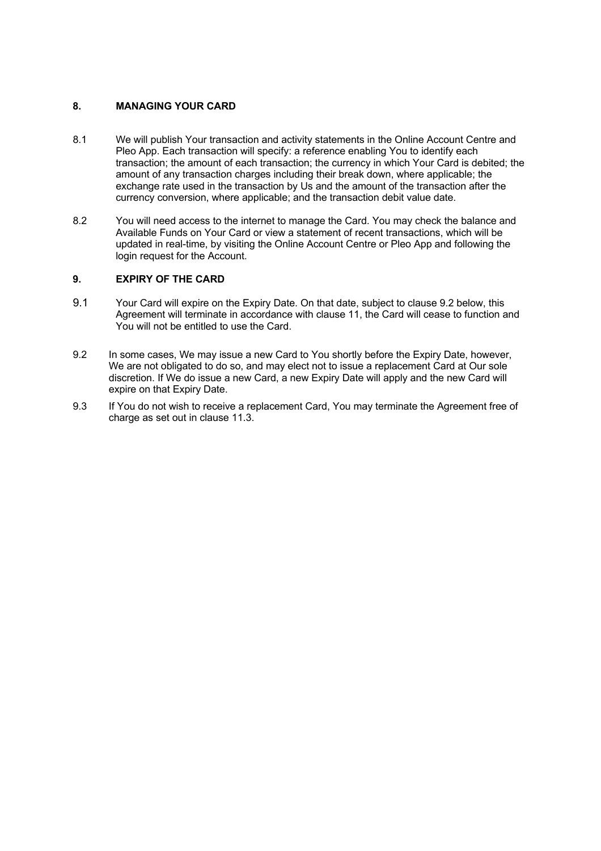# **8. MANAGING YOUR CARD**

- 8.1 We will publish Your transaction and activity statements in the Online Account Centre and Pleo App. Each transaction will specify: a reference enabling You to identify each transaction; the amount of each transaction; the currency in which Your Card is debited; the amount of any transaction charges including their break down, where applicable; the exchange rate used in the transaction by Us and the amount of the transaction after the currency conversion, where applicable; and the transaction debit value date.
- 8.2 You will need access to the internet to manage the Card. You may check the balance and Available Funds on Your Card or view a statement of recent transactions, which will be updated in real-time, by visiting the Online Account Centre or Pleo App and following the login request for the Account.

#### **9. EXPIRY OF THE CARD**

- 9.1 Your Card will expire on the Expiry Date. On that date, subject to clause 9.2 below, this Agreement will terminate in accordance with clause 11, the Card will cease to function and You will not be entitled to use the Card.
- 9.2 In some cases, We may issue a new Card to You shortly before the Expiry Date, however, We are not obligated to do so, and may elect not to issue a replacement Card at Our sole discretion. If We do issue a new Card, a new Expiry Date will apply and the new Card will expire on that Expiry Date.
- 9.3 If You do not wish to receive a replacement Card, You may terminate the Agreement free of charge as set out in clause 11.3.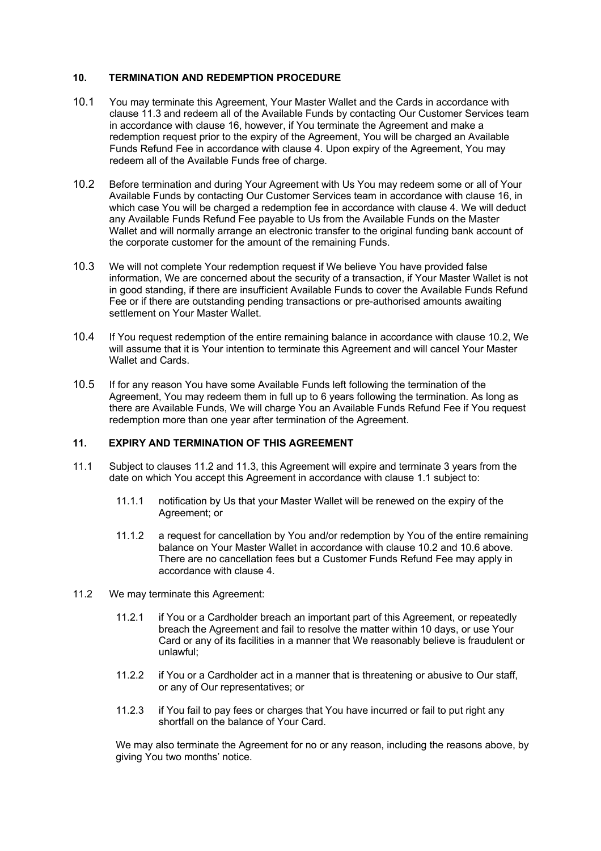#### **10. TERMINATION AND REDEMPTION PROCEDURE**

- 10.1 You may terminate this Agreement, Your Master Wallet and the Cards in accordance with clause 11.3 and redeem all of the Available Funds by contacting Our Customer Services team in accordance with clause 16, however, if You terminate the Agreement and make a redemption request prior to the expiry of the Agreement, You will be charged an Available Funds Refund Fee in accordance with clause 4. Upon expiry of the Agreement, You may redeem all of the Available Funds free of charge.
- 10.2 Before termination and during Your Agreement with Us You may redeem some or all of Your Available Funds by contacting Our Customer Services team in accordance with clause 16, in which case You will be charged a redemption fee in accordance with clause 4. We will deduct any Available Funds Refund Fee payable to Us from the Available Funds on the Master Wallet and will normally arrange an electronic transfer to the original funding bank account of the corporate customer for the amount of the remaining Funds.
- 10.3 We will not complete Your redemption request if We believe You have provided false information, We are concerned about the security of a transaction, if Your Master Wallet is not in good standing, if there are insufficient Available Funds to cover the Available Funds Refund Fee or if there are outstanding pending transactions or pre-authorised amounts awaiting settlement on Your Master Wallet.
- 10.4 If You request redemption of the entire remaining balance in accordance with clause 10.2, We will assume that it is Your intention to terminate this Agreement and will cancel Your Master Wallet and Cards.
- 10.5 If for any reason You have some Available Funds left following the termination of the Agreement, You may redeem them in full up to 6 years following the termination. As long as there are Available Funds, We will charge You an Available Funds Refund Fee if You request redemption more than one year after termination of the Agreement.

#### **11. EXPIRY AND TERMINATION OF THIS AGREEMENT**

- 11.1 Subject to clauses 11.2 and 11.3, this Agreement will expire and terminate 3 years from the date on which You accept this Agreement in accordance with clause 1.1 subject to:
	- 11.1.1 notification by Us that your Master Wallet will be renewed on the expiry of the Agreement; or
	- 11.1.2 a request for cancellation by You and/or redemption by You of the entire remaining balance on Your Master Wallet in accordance with clause 10.2 and 10.6 above. There are no cancellation fees but a Customer Funds Refund Fee may apply in accordance with clause 4.
- 11.2 We may terminate this Agreement:
	- 11.2.1 if You or a Cardholder breach an important part of this Agreement, or repeatedly breach the Agreement and fail to resolve the matter within 10 days, or use Your Card or any of its facilities in a manner that We reasonably believe is fraudulent or unlawful;
	- 11.2.2 if You or a Cardholder act in a manner that is threatening or abusive to Our staff, or any of Our representatives; or
	- 11.2.3 if You fail to pay fees or charges that You have incurred or fail to put right any shortfall on the balance of Your Card.

We may also terminate the Agreement for no or any reason, including the reasons above, by giving You two months' notice.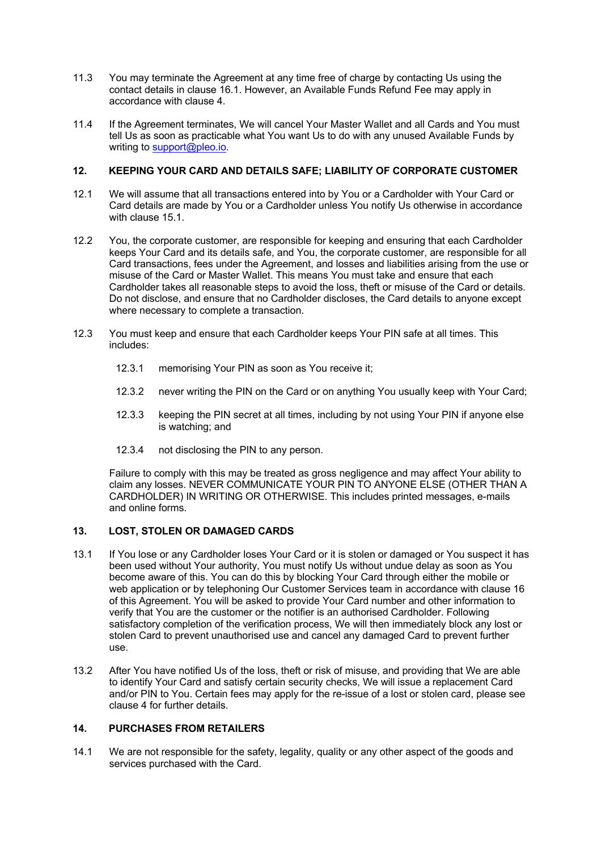- 11.3 You may terminate the Agreement at any time free of charge by contacting Us using the contact details in clause 16.1. However, an Available Funds Refund Fee may apply in accordance with clause 4.
- 11.4 If the Agreement terminates, We will cancel Your Master Wallet and all Cards and You must tell Us as soon as practicable what You want Us to do with any unused Available Funds by writing to support@pleo.io.

## **12. KEEPING YOUR CARD AND DETAILS SAFE; LIABILITY OF CORPORATE CUSTOMER**

- 12.1 We will assume that all transactions entered into by You or a Cardholder with Your Card or Card details are made by You or a Cardholder unless You notify Us otherwise in accordance with clause 15.1.
- 12.2 You, the corporate customer, are responsible for keeping and ensuring that each Cardholder keeps Your Card and its details safe, and You, the corporate customer, are responsible for all Card transactions, fees under the Agreement, and losses and liabilities arising from the use or misuse of the Card or Master Wallet. This means You must take and ensure that each Cardholder takes all reasonable steps to avoid the loss, theft or misuse of the Card or details. Do not disclose, and ensure that no Cardholder discloses, the Card details to anyone except where necessary to complete a transaction.
- 12.3 You must keep and ensure that each Cardholder keeps Your PIN safe at all times. This includes:
	- 12.3.1 memorising Your PIN as soon as You receive it;
	- 12.3.2 never writing the PIN on the Card or on anything You usually keep with Your Card;
	- 12.3.3 keeping the PIN secret at all times, including by not using Your PIN if anyone else is watching; and
	- 12.3.4 not disclosing the PIN to any person.

Failure to comply with this may be treated as gross negligence and may affect Your ability to claim any losses. NEVER COMMUNICATE YOUR PIN TO ANYONE ELSE (OTHER THAN A CARDHOLDER) IN WRITING OR OTHERWISE. This includes printed messages, e-mails and online forms.

## **13. LOST, STOLEN OR DAMAGED CARDS**

- 13.1 If You lose or any Cardholder loses Your Card or it is stolen or damaged or You suspect it has been used without Your authority, You must notify Us without undue delay as soon as You become aware of this. You can do this by blocking Your Card through either the mobile or web application or by telephoning Our Customer Services team in accordance with clause 16 of this Agreement. You will be asked to provide Your Card number and other information to verify that You are the customer or the notifier is an authorised Cardholder. Following satisfactory completion of the verification process, We will then immediately block any lost or stolen Card to prevent unauthorised use and cancel any damaged Card to prevent further use.
- 13.2 After You have notified Us of the loss, theft or risk of misuse, and providing that We are able to identify Your Card and satisfy certain security checks, We will issue a replacement Card and/or PIN to You. Certain fees may apply for the re-issue of a lost or stolen card, please see clause 4 for further details.

# **14. PURCHASES FROM RETAILERS**

14.1 We are not responsible for the safety, legality, quality or any other aspect of the goods and services purchased with the Card.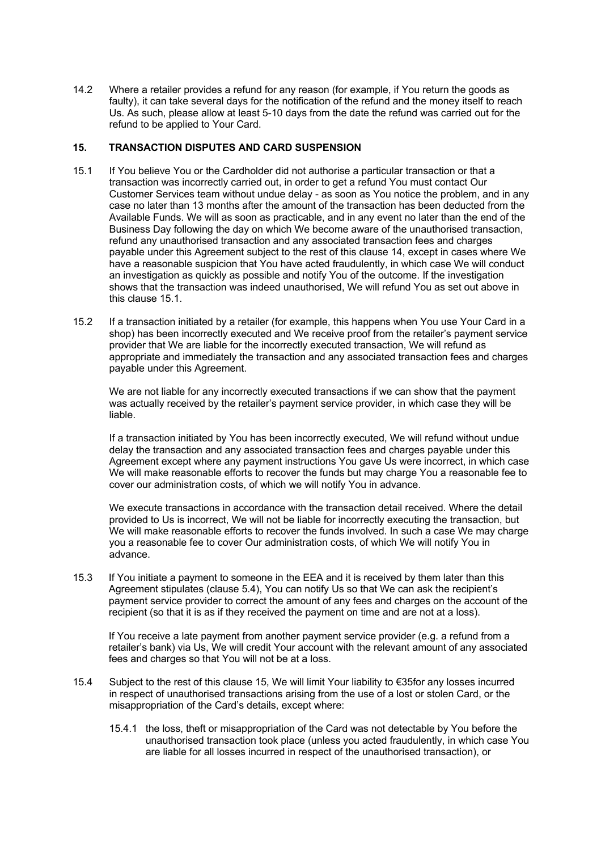14.2 Where a retailer provides a refund for any reason (for example, if You return the goods as faulty), it can take several days for the notification of the refund and the money itself to reach Us. As such, please allow at least 5-10 days from the date the refund was carried out for the refund to be applied to Your Card.

#### **15. TRANSACTION DISPUTES AND CARD SUSPENSION**

- 15.1 If You believe You or the Cardholder did not authorise a particular transaction or that a transaction was incorrectly carried out, in order to get a refund You must contact Our Customer Services team without undue delay - as soon as You notice the problem, and in any case no later than 13 months after the amount of the transaction has been deducted from the Available Funds. We will as soon as practicable, and in any event no later than the end of the Business Day following the day on which We become aware of the unauthorised transaction, refund any unauthorised transaction and any associated transaction fees and charges payable under this Agreement subject to the rest of this clause 14, except in cases where We have a reasonable suspicion that You have acted fraudulently, in which case We will conduct an investigation as quickly as possible and notify You of the outcome. If the investigation shows that the transaction was indeed unauthorised, We will refund You as set out above in this clause 15.1.
- 15.2 If a transaction initiated by a retailer (for example, this happens when You use Your Card in a shop) has been incorrectly executed and We receive proof from the retailer's payment service provider that We are liable for the incorrectly executed transaction, We will refund as appropriate and immediately the transaction and any associated transaction fees and charges payable under this Agreement.

We are not liable for any incorrectly executed transactions if we can show that the payment was actually received by the retailer's payment service provider, in which case they will be liable.

If a transaction initiated by You has been incorrectly executed, We will refund without undue delay the transaction and any associated transaction fees and charges payable under this Agreement except where any payment instructions You gave Us were incorrect, in which case We will make reasonable efforts to recover the funds but may charge You a reasonable fee to cover our administration costs, of which we will notify You in advance.

We execute transactions in accordance with the transaction detail received. Where the detail provided to Us is incorrect, We will not be liable for incorrectly executing the transaction, but We will make reasonable efforts to recover the funds involved. In such a case We may charge you a reasonable fee to cover Our administration costs, of which We will notify You in advance.

15.3 If You initiate a payment to someone in the EEA and it is received by them later than this Agreement stipulates (clause 5.4), You can notify Us so that We can ask the recipient's payment service provider to correct the amount of any fees and charges on the account of the recipient (so that it is as if they received the payment on time and are not at a loss).

If You receive a late payment from another payment service provider (e.g. a refund from a retailer's bank) via Us, We will credit Your account with the relevant amount of any associated fees and charges so that You will not be at a loss.

- 15.4 Subject to the rest of this clause 15, We will limit Your liability to €35for any losses incurred in respect of unauthorised transactions arising from the use of a lost or stolen Card, or the misappropriation of the Card's details, except where:
	- 15.4.1 the loss, theft or misappropriation of the Card was not detectable by You before the unauthorised transaction took place (unless you acted fraudulently, in which case You are liable for all losses incurred in respect of the unauthorised transaction), or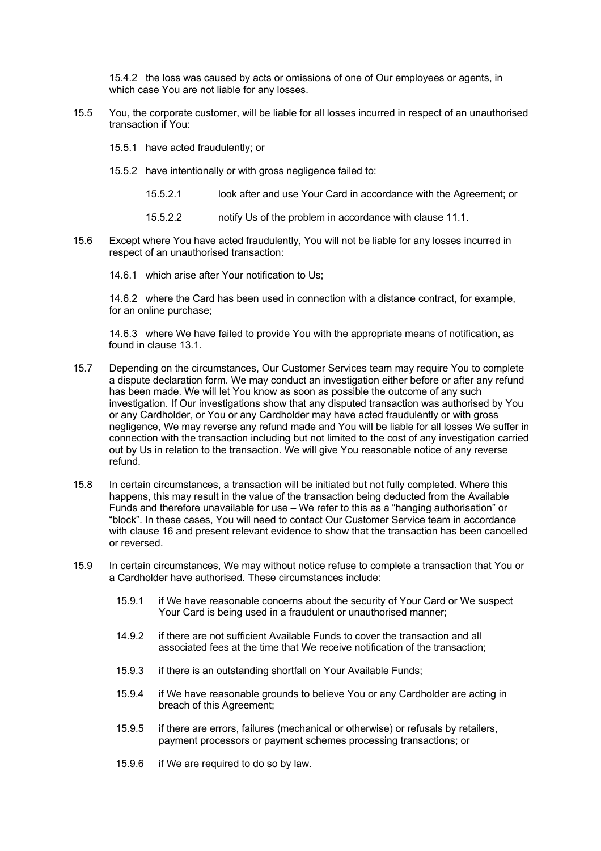15.4.2 the loss was caused by acts or omissions of one of Our employees or agents, in which case You are not liable for any losses.

- 15.5 You, the corporate customer, will be liable for all losses incurred in respect of an unauthorised transaction if You:
	- 15.5.1 have acted fraudulently; or
	- 15.5.2 have intentionally or with gross negligence failed to:
		- 15.5.2.1 look after and use Your Card in accordance with the Agreement; or
		- 15.5.2.2 notify Us of the problem in accordance with clause 11.1.
- 15.6 Except where You have acted fraudulently, You will not be liable for any losses incurred in respect of an unauthorised transaction:
	- 14.6.1 which arise after Your notification to Us;

14.6.2 where the Card has been used in connection with a distance contract, for example, for an online purchase;

14.6.3 where We have failed to provide You with the appropriate means of notification, as found in clause 13.1.

- 15.7 Depending on the circumstances, Our Customer Services team may require You to complete a dispute declaration form. We may conduct an investigation either before or after any refund has been made. We will let You know as soon as possible the outcome of any such investigation. If Our investigations show that any disputed transaction was authorised by You or any Cardholder, or You or any Cardholder may have acted fraudulently or with gross negligence, We may reverse any refund made and You will be liable for all losses We suffer in connection with the transaction including but not limited to the cost of any investigation carried out by Us in relation to the transaction. We will give You reasonable notice of any reverse refund.
- 15.8 In certain circumstances, a transaction will be initiated but not fully completed. Where this happens, this may result in the value of the transaction being deducted from the Available Funds and therefore unavailable for use – We refer to this as a "hanging authorisation" or "block". In these cases, You will need to contact Our Customer Service team in accordance with clause 16 and present relevant evidence to show that the transaction has been cancelled or reversed.
- 15.9 In certain circumstances, We may without notice refuse to complete a transaction that You or a Cardholder have authorised. These circumstances include:
	- 15.9.1 if We have reasonable concerns about the security of Your Card or We suspect Your Card is being used in a fraudulent or unauthorised manner;
	- 14.9.2 if there are not sufficient Available Funds to cover the transaction and all associated fees at the time that We receive notification of the transaction;
	- 15.9.3 if there is an outstanding shortfall on Your Available Funds;
	- 15.9.4 if We have reasonable grounds to believe You or any Cardholder are acting in breach of this Agreement;
	- 15.9.5 if there are errors, failures (mechanical or otherwise) or refusals by retailers, payment processors or payment schemes processing transactions; or
	- 15.9.6 if We are required to do so by law.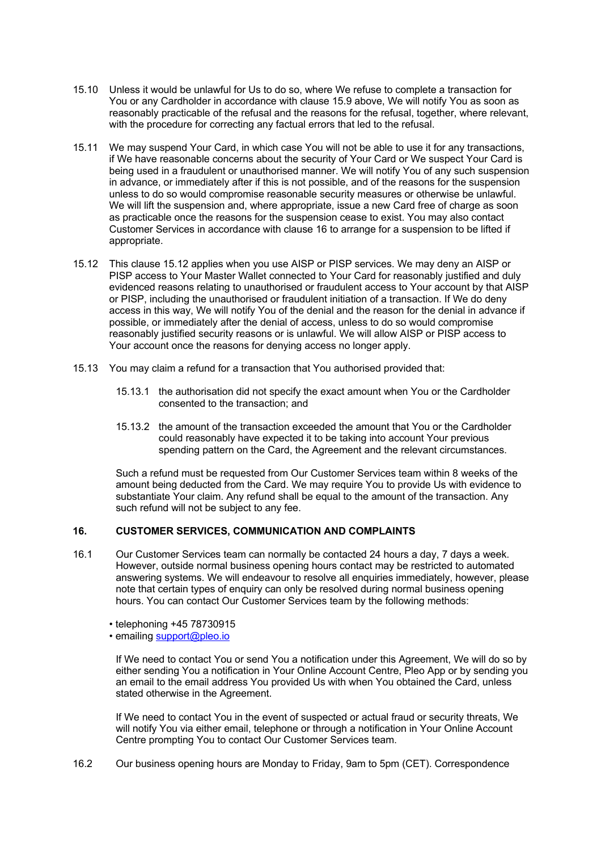- 15.10 Unless it would be unlawful for Us to do so, where We refuse to complete a transaction for You or any Cardholder in accordance with clause 15.9 above, We will notify You as soon as reasonably practicable of the refusal and the reasons for the refusal, together, where relevant, with the procedure for correcting any factual errors that led to the refusal.
- 15.11 We may suspend Your Card, in which case You will not be able to use it for any transactions, if We have reasonable concerns about the security of Your Card or We suspect Your Card is being used in a fraudulent or unauthorised manner. We will notify You of any such suspension in advance, or immediately after if this is not possible, and of the reasons for the suspension unless to do so would compromise reasonable security measures or otherwise be unlawful. We will lift the suspension and, where appropriate, issue a new Card free of charge as soon as practicable once the reasons for the suspension cease to exist. You may also contact Customer Services in accordance with clause 16 to arrange for a suspension to be lifted if appropriate.
- 15.12 This clause 15.12 applies when you use AISP or PISP services. We may deny an AISP or PISP access to Your Master Wallet connected to Your Card for reasonably justified and duly evidenced reasons relating to unauthorised or fraudulent access to Your account by that AISP or PISP, including the unauthorised or fraudulent initiation of a transaction. If We do deny access in this way, We will notify You of the denial and the reason for the denial in advance if possible, or immediately after the denial of access, unless to do so would compromise reasonably justified security reasons or is unlawful. We will allow AISP or PISP access to Your account once the reasons for denying access no longer apply.
- 15.13 You may claim a refund for a transaction that You authorised provided that:
	- 15.13.1 the authorisation did not specify the exact amount when You or the Cardholder consented to the transaction; and
	- 15.13.2 the amount of the transaction exceeded the amount that You or the Cardholder could reasonably have expected it to be taking into account Your previous spending pattern on the Card, the Agreement and the relevant circumstances.

Such a refund must be requested from Our Customer Services team within 8 weeks of the amount being deducted from the Card. We may require You to provide Us with evidence to substantiate Your claim. Any refund shall be equal to the amount of the transaction. Any such refund will not be subject to any fee.

#### **16. CUSTOMER SERVICES, COMMUNICATION AND COMPLAINTS**

- 16.1 Our Customer Services team can normally be contacted 24 hours a day, 7 days a week. However, outside normal business opening hours contact may be restricted to automated answering systems. We will endeavour to resolve all enquiries immediately, however, please note that certain types of enquiry can only be resolved during normal business opening hours. You can contact Our Customer Services team by the following methods:
	- telephoning +45 78730915
	- emailing support@pleo.io

If We need to contact You or send You a notification under this Agreement, We will do so by either sending You a notification in Your Online Account Centre, Pleo App or by sending you an email to the email address You provided Us with when You obtained the Card, unless stated otherwise in the Agreement.

If We need to contact You in the event of suspected or actual fraud or security threats, We will notify You via either email, telephone or through a notification in Your Online Account Centre prompting You to contact Our Customer Services team.

16.2 Our business opening hours are Monday to Friday, 9am to 5pm (CET). Correspondence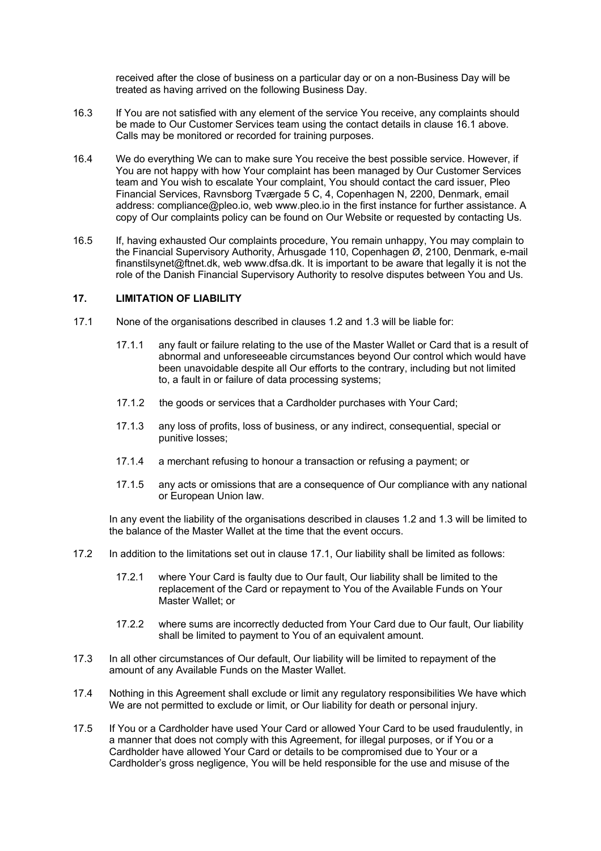received after the close of business on a particular day or on a non-Business Day will be treated as having arrived on the following Business Day.

- 16.3 If You are not satisfied with any element of the service You receive, any complaints should be made to Our Customer Services team using the contact details in clause 16.1 above. Calls may be monitored or recorded for training purposes.
- 16.4 We do everything We can to make sure You receive the best possible service. However, if You are not happy with how Your complaint has been managed by Our Customer Services team and You wish to escalate Your complaint, You should contact the card issuer, Pleo Financial Services, Ravnsborg Tværgade 5 C, 4, Copenhagen N, 2200, Denmark, email address: compliance@pleo.io, web www.pleo.io in the first instance for further assistance. A copy of Our complaints policy can be found on Our Website or requested by contacting Us.
- 16.5 If, having exhausted Our complaints procedure, You remain unhappy, You may complain to the Financial Supervisory Authority, Århusgade 110, Copenhagen Ø, 2100, Denmark, e-mail finanstilsynet@ftnet.dk, web www.dfsa.dk. It is important to be aware that legally it is not the role of the Danish Financial Supervisory Authority to resolve disputes between You and Us.

## **17. LIMITATION OF LIABILITY**

- 17.1 None of the organisations described in clauses 1.2 and 1.3 will be liable for:
	- 17.1.1 any fault or failure relating to the use of the Master Wallet or Card that is a result of abnormal and unforeseeable circumstances beyond Our control which would have been unavoidable despite all Our efforts to the contrary, including but not limited to, a fault in or failure of data processing systems;
	- 17.1.2 the goods or services that a Cardholder purchases with Your Card;
	- 17.1.3 any loss of profits, loss of business, or any indirect, consequential, special or punitive losses;
	- 17.1.4 a merchant refusing to honour a transaction or refusing a payment; or
	- 17.1.5 any acts or omissions that are a consequence of Our compliance with any national or European Union law.

In any event the liability of the organisations described in clauses 1.2 and 1.3 will be limited to the balance of the Master Wallet at the time that the event occurs.

- 17.2 In addition to the limitations set out in clause 17.1, Our liability shall be limited as follows:
	- 17.2.1 where Your Card is faulty due to Our fault, Our liability shall be limited to the replacement of the Card or repayment to You of the Available Funds on Your Master Wallet; or
	- 17.2.2 where sums are incorrectly deducted from Your Card due to Our fault, Our liability shall be limited to payment to You of an equivalent amount.
- 17.3 In all other circumstances of Our default, Our liability will be limited to repayment of the amount of any Available Funds on the Master Wallet.
- 17.4 Nothing in this Agreement shall exclude or limit any regulatory responsibilities We have which We are not permitted to exclude or limit, or Our liability for death or personal injury.
- 17.5 If You or a Cardholder have used Your Card or allowed Your Card to be used fraudulently, in a manner that does not comply with this Agreement, for illegal purposes, or if You or a Cardholder have allowed Your Card or details to be compromised due to Your or a Cardholder's gross negligence, You will be held responsible for the use and misuse of the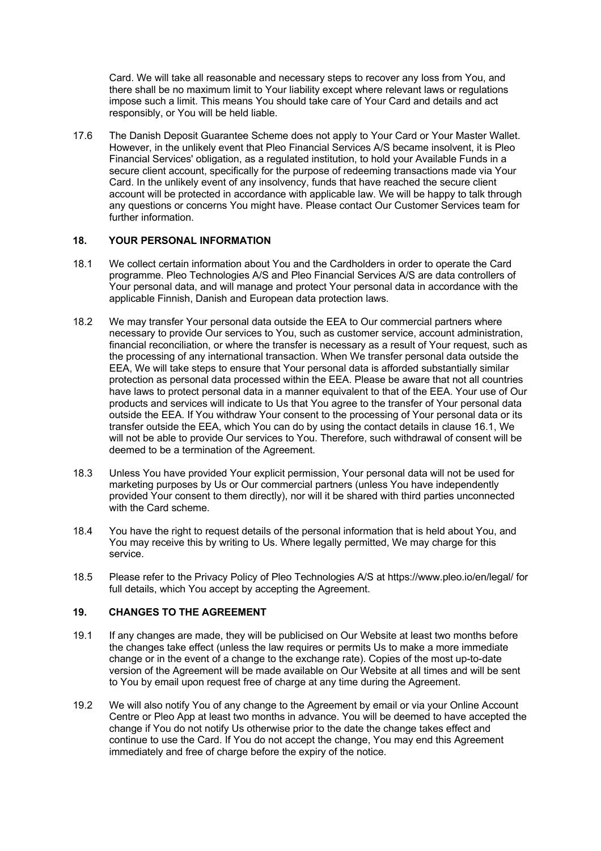Card. We will take all reasonable and necessary steps to recover any loss from You, and there shall be no maximum limit to Your liability except where relevant laws or regulations impose such a limit. This means You should take care of Your Card and details and act responsibly, or You will be held liable.

17.6 The Danish Deposit Guarantee Scheme does not apply to Your Card or Your Master Wallet. However, in the unlikely event that Pleo Financial Services A/S became insolvent, it is Pleo Financial Services' obligation, as a regulated institution, to hold your Available Funds in a secure client account, specifically for the purpose of redeeming transactions made via Your Card. In the unlikely event of any insolvency, funds that have reached the secure client account will be protected in accordance with applicable law. We will be happy to talk through any questions or concerns You might have. Please contact Our Customer Services team for further information.

#### **18. YOUR PERSONAL INFORMATION**

- 18.1 We collect certain information about You and the Cardholders in order to operate the Card programme. Pleo Technologies A/S and Pleo Financial Services A/S are data controllers of Your personal data, and will manage and protect Your personal data in accordance with the applicable Finnish, Danish and European data protection laws.
- 18.2 We may transfer Your personal data outside the EEA to Our commercial partners where necessary to provide Our services to You, such as customer service, account administration, financial reconciliation, or where the transfer is necessary as a result of Your request, such as the processing of any international transaction. When We transfer personal data outside the EEA, We will take steps to ensure that Your personal data is afforded substantially similar protection as personal data processed within the EEA. Please be aware that not all countries have laws to protect personal data in a manner equivalent to that of the EEA. Your use of Our products and services will indicate to Us that You agree to the transfer of Your personal data outside the EEA. If You withdraw Your consent to the processing of Your personal data or its transfer outside the EEA, which You can do by using the contact details in clause 16.1, We will not be able to provide Our services to You. Therefore, such withdrawal of consent will be deemed to be a termination of the Agreement.
- 18.3 Unless You have provided Your explicit permission, Your personal data will not be used for marketing purposes by Us or Our commercial partners (unless You have independently provided Your consent to them directly), nor will it be shared with third parties unconnected with the Card scheme.
- 18.4 You have the right to request details of the personal information that is held about You, and You may receive this by writing to Us. Where legally permitted, We may charge for this service.
- 18.5 Please refer to the Privacy Policy of Pleo Technologies A/S at https://www.pleo.io/en/legal/ for full details, which You accept by accepting the Agreement.

## **19. CHANGES TO THE AGREEMENT**

- 19.1 If any changes are made, they will be publicised on Our Website at least two months before the changes take effect (unless the law requires or permits Us to make a more immediate change or in the event of a change to the exchange rate). Copies of the most up-to-date version of the Agreement will be made available on Our Website at all times and will be sent to You by email upon request free of charge at any time during the Agreement.
- 19.2 We will also notify You of any change to the Agreement by email or via your Online Account Centre or Pleo App at least two months in advance. You will be deemed to have accepted the change if You do not notify Us otherwise prior to the date the change takes effect and continue to use the Card. If You do not accept the change, You may end this Agreement immediately and free of charge before the expiry of the notice.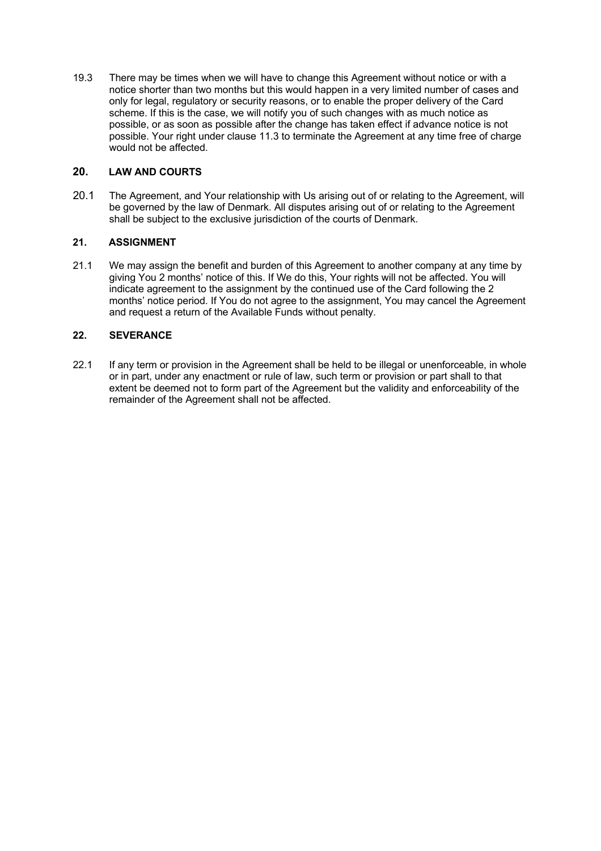19.3 There may be times when we will have to change this Agreement without notice or with a notice shorter than two months but this would happen in a very limited number of cases and only for legal, regulatory or security reasons, or to enable the proper delivery of the Card scheme. If this is the case, we will notify you of such changes with as much notice as possible, or as soon as possible after the change has taken effect if advance notice is not possible. Your right under clause 11.3 to terminate the Agreement at any time free of charge would not be affected.

# **20. LAW AND COURTS**

20.1 The Agreement, and Your relationship with Us arising out of or relating to the Agreement, will be governed by the law of Denmark. All disputes arising out of or relating to the Agreement shall be subject to the exclusive jurisdiction of the courts of Denmark.

# **21. ASSIGNMENT**

21.1 We may assign the benefit and burden of this Agreement to another company at any time by giving You 2 months' notice of this. If We do this, Your rights will not be affected. You will indicate agreement to the assignment by the continued use of the Card following the 2 months' notice period. If You do not agree to the assignment, You may cancel the Agreement and request a return of the Available Funds without penalty.

# **22. SEVERANCE**

22.1 If any term or provision in the Agreement shall be held to be illegal or unenforceable, in whole or in part, under any enactment or rule of law, such term or provision or part shall to that extent be deemed not to form part of the Agreement but the validity and enforceability of the remainder of the Agreement shall not be affected.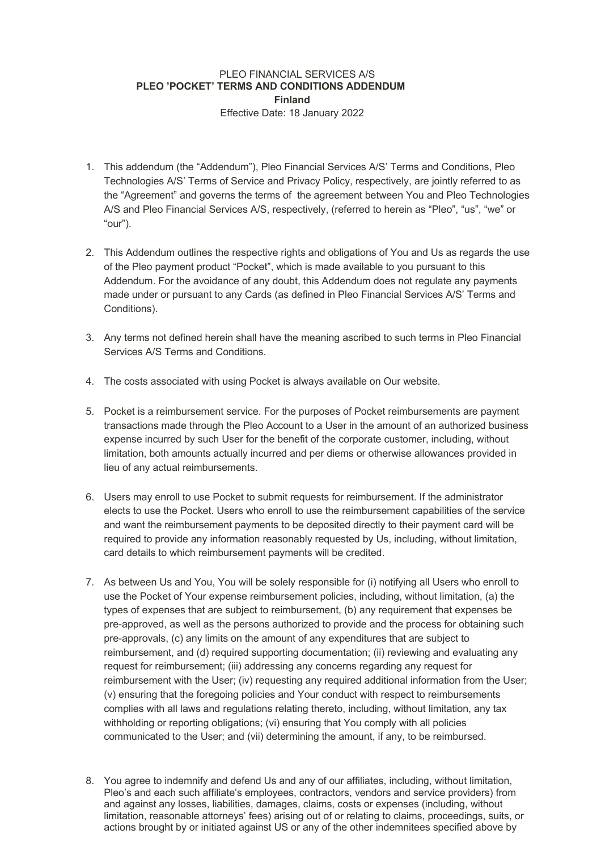## PLEO FINANCIAL SERVICES A/S **PLEO 'POCKET' TERMS AND CONDITIONS ADDENDUM Finland** Effective Date: 18 January 2022

- 1. This addendum (the "Addendum"), Pleo Financial Services A/S' Terms and Conditions, Pleo Technologies A/S' Terms of Service and Privacy Policy, respectively, are jointly referred to as the "Agreement" and governs the terms of the agreement between You and Pleo Technologies A/S and Pleo Financial Services A/S, respectively, (referred to herein as "Pleo", "us", "we" or "our").
- 2. This Addendum outlines the respective rights and obligations of You and Us as regards the use of the Pleo payment product "Pocket", which is made available to you pursuant to this Addendum. For the avoidance of any doubt, this Addendum does not regulate any payments made under or pursuant to any Cards (as defined in Pleo Financial Services A/S' Terms and Conditions).
- 3. Any terms not defined herein shall have the meaning ascribed to such terms in Pleo Financial Services A/S Terms and Conditions.
- 4. The costs associated with using Pocket is always available on Our website.
- 5. Pocket is a reimbursement service. For the purposes of Pocket reimbursements are payment transactions made through the Pleo Account to a User in the amount of an authorized business expense incurred by such User for the benefit of the corporate customer, including, without limitation, both amounts actually incurred and per diems or otherwise allowances provided in lieu of any actual reimbursements.
- 6. Users may enroll to use Pocket to submit requests for reimbursement. If the administrator elects to use the Pocket. Users who enroll to use the reimbursement capabilities of the service and want the reimbursement payments to be deposited directly to their payment card will be required to provide any information reasonably requested by Us, including, without limitation, card details to which reimbursement payments will be credited.
- 7. As between Us and You, You will be solely responsible for (i) notifying all Users who enroll to use the Pocket of Your expense reimbursement policies, including, without limitation, (a) the types of expenses that are subject to reimbursement, (b) any requirement that expenses be pre-approved, as well as the persons authorized to provide and the process for obtaining such pre-approvals, (c) any limits on the amount of any expenditures that are subject to reimbursement, and (d) required supporting documentation; (ii) reviewing and evaluating any request for reimbursement; (iii) addressing any concerns regarding any request for reimbursement with the User; (iv) requesting any required additional information from the User; (v) ensuring that the foregoing policies and Your conduct with respect to reimbursements complies with all laws and regulations relating thereto, including, without limitation, any tax withholding or reporting obligations; (vi) ensuring that You comply with all policies communicated to the User; and (vii) determining the amount, if any, to be reimbursed.
- 8. You agree to indemnify and defend Us and any of our affiliates, including, without limitation, Pleo's and each such affiliate's employees, contractors, vendors and service providers) from and against any losses, liabilities, damages, claims, costs or expenses (including, without limitation, reasonable attorneys' fees) arising out of or relating to claims, proceedings, suits, or actions brought by or initiated against US or any of the other indemnitees specified above by